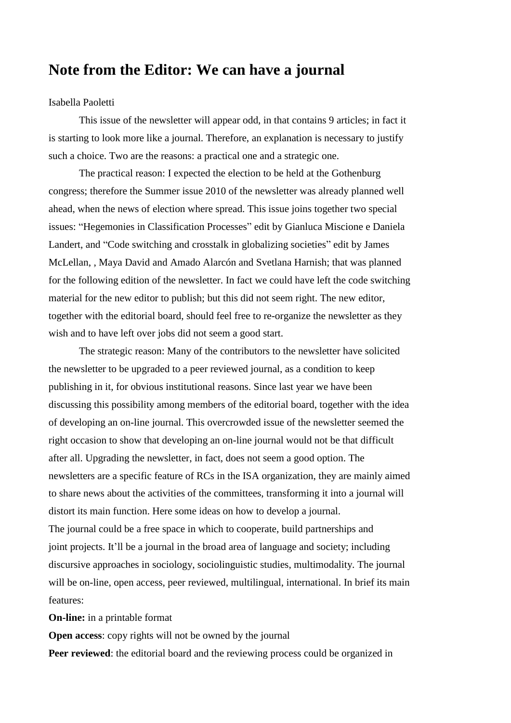## **Note from the Editor: We can have a journal**

## Isabella Paoletti

This issue of the newsletter will appear odd, in that contains 9 articles; in fact it is starting to look more like a journal. Therefore, an explanation is necessary to justify such a choice. Two are the reasons: a practical one and a strategic one.

The practical reason: I expected the election to be held at the Gothenburg congress; therefore the Summer issue 2010 of the newsletter was already planned well ahead, when the news of election where spread. This issue joins together two special issues: "Hegemonies in Classification Processes" edit by Gianluca Miscione e Daniela Landert, and "Code switching and crosstalk in globalizing societies" edit by James McLellan, , Maya David and Amado Alarcón and Svetlana Harnish; that was planned for the following edition of the newsletter. In fact we could have left the code switching material for the new editor to publish; but this did not seem right. The new editor, together with the editorial board, should feel free to re-organize the newsletter as they wish and to have left over jobs did not seem a good start.

The strategic reason: Many of the contributors to the newsletter have solicited the newsletter to be upgraded to a peer reviewed journal, as a condition to keep publishing in it, for obvious institutional reasons. Since last year we have been discussing this possibility among members of the editorial board, together with the idea of developing an on-line journal. This overcrowded issue of the newsletter seemed the right occasion to show that developing an on-line journal would not be that difficult after all. Upgrading the newsletter, in fact, does not seem a good option. The newsletters are a specific feature of RCs in the ISA organization, they are mainly aimed to share news about the activities of the committees, transforming it into a journal will distort its main function. Here some ideas on how to develop a journal.

The journal could be a free space in which to cooperate, build partnerships and joint projects. It'll be a journal in the broad area of language and society; including discursive approaches in sociology, sociolinguistic studies, multimodality. The journal will be on-line, open access, peer reviewed, multilingual, international. In brief its main features:

**On-line:** in a printable format

**Open access:** copy rights will not be owned by the journal

**Peer reviewed:** the editorial board and the reviewing process could be organized in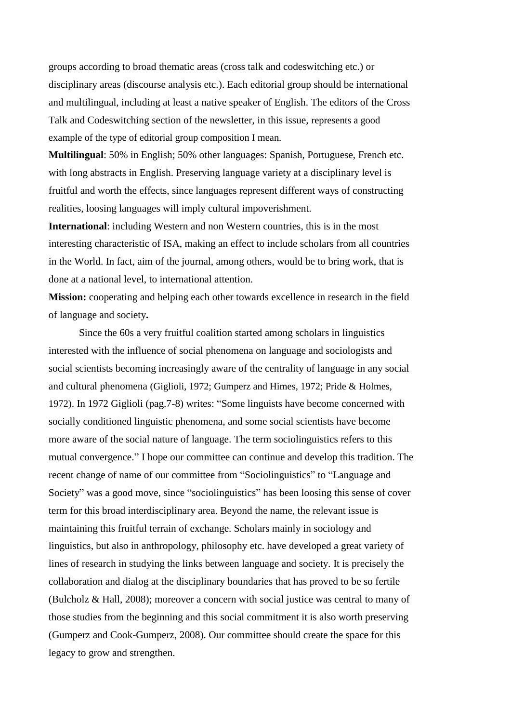groups according to broad thematic areas (cross talk and codeswitching etc.) or disciplinary areas (discourse analysis etc.). Each editorial group should be international and multilingual, including at least a native speaker of English. The editors of the Cross Talk and Codeswitching section of the newsletter, in this issue, represents a good example of the type of editorial group composition I mean.

**Multilingual**: 50% in English; 50% other languages: Spanish, Portuguese, French etc. with long abstracts in English. Preserving language variety at a disciplinary level is fruitful and worth the effects, since languages represent different ways of constructing realities, loosing languages will imply cultural impoverishment.

**International**: including Western and non Western countries, this is in the most interesting characteristic of ISA, making an effect to include scholars from all countries in the World. In fact, aim of the journal, among others, would be to bring work, that is done at a national level, to international attention.

**Mission:** cooperating and helping each other towards excellence in research in the field of language and society**.**

Since the 60s a very fruitful coalition started among scholars in linguistics interested with the influence of social phenomena on language and sociologists and social scientists becoming increasingly aware of the centrality of language in any social and cultural phenomena (Giglioli, 1972; Gumperz and Himes, 1972; Pride & Holmes, 1972). In 1972 Giglioli (pag.7-8) writes: "Some linguists have become concerned with socially conditioned linguistic phenomena, and some social scientists have become more aware of the social nature of language. The term sociolinguistics refers to this mutual convergence." I hope our committee can continue and develop this tradition. The recent change of name of our committee from "Sociolinguistics" to "Language and Society" was a good move, since "sociolinguistics" has been loosing this sense of cover term for this broad interdisciplinary area. Beyond the name, the relevant issue is maintaining this fruitful terrain of exchange. Scholars mainly in sociology and linguistics, but also in anthropology, philosophy etc. have developed a great variety of lines of research in studying the links between language and society. It is precisely the collaboration and dialog at the disciplinary boundaries that has proved to be so fertile (Bulcholz & Hall, 2008); moreover a concern with social justice was central to many of those studies from the beginning and this social commitment it is also worth preserving (Gumperz and Cook-Gumperz, 2008). Our committee should create the space for this legacy to grow and strengthen.